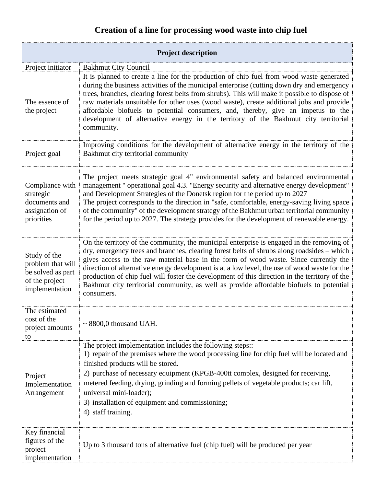## **Creation of a line for processing wood waste into chip fuel**

| <b>Project description</b>                                                                 |                                                                                                                                                                                                                                                                                                                                                                                                                                                                                                                                                                                           |
|--------------------------------------------------------------------------------------------|-------------------------------------------------------------------------------------------------------------------------------------------------------------------------------------------------------------------------------------------------------------------------------------------------------------------------------------------------------------------------------------------------------------------------------------------------------------------------------------------------------------------------------------------------------------------------------------------|
| Project initiator                                                                          | <b>Bakhmut City Council</b>                                                                                                                                                                                                                                                                                                                                                                                                                                                                                                                                                               |
| The essence of<br>the project                                                              | It is planned to create a line for the production of chip fuel from wood waste generated<br>during the business activities of the municipal enterprise (cutting down dry and emergency<br>trees, branches, clearing forest belts from shrubs). This will make it possible to dispose of<br>raw materials unsuitable for other uses (wood waste), create additional jobs and provide<br>affordable biofuels to potential consumers, and, thereby, give an impetus to the<br>development of alternative energy in the territory of the Bakhmut city territorial<br>community.               |
| Project goal                                                                               | Improving conditions for the development of alternative energy in the territory of the<br>Bakhmut city territorial community                                                                                                                                                                                                                                                                                                                                                                                                                                                              |
| Compliance with<br>strategic<br>documents and<br>assignation of<br>priorities              | The project meets strategic goal 4" environmental safety and balanced environmental<br>management " operational goal 4.3. "Energy security and alternative energy development"<br>and Development Strategies of the Donetsk region for the period up to 2027<br>The project corresponds to the direction in "safe, comfortable, energy-saving living space<br>of the community" of the development strategy of the Bakhmut urban territorial community<br>for the period up to 2027. The strategy provides for the development of renewable energy.                                       |
| Study of the<br>problem that will<br>be solved as part<br>of the project<br>implementation | On the territory of the community, the municipal enterprise is engaged in the removing of<br>dry, emergency trees and branches, clearing forest belts of shrubs along roadsides - which<br>gives access to the raw material base in the form of wood waste. Since currently the<br>direction of alternative energy development is at a low level, the use of wood waste for the<br>production of chip fuel will foster the development of this direction in the territory of the<br>Bakhmut city territorial community, as well as provide affordable biofuels to potential<br>consumers. |
| The estimated<br>cost of the<br>project amounts<br>to                                      | $\sim$ 8800,0 thousand UAH.                                                                                                                                                                                                                                                                                                                                                                                                                                                                                                                                                               |
| Project<br>Implementation<br>Arrangement                                                   | The project implementation includes the following steps::<br>1) repair of the premises where the wood processing line for chip fuel will be located and<br>finished products will be stored.<br>2) purchase of necessary equipment (KPGB-400tt complex, designed for receiving,<br>metered feeding, drying, grinding and forming pellets of vegetable products; car lift,<br>universal mini-loader);<br>3) installation of equipment and commissioning;<br>4) staff training.                                                                                                             |
| Key financial<br>figures of the<br>project<br>implementation                               | Up to 3 thousand tons of alternative fuel (chip fuel) will be produced per year                                                                                                                                                                                                                                                                                                                                                                                                                                                                                                           |